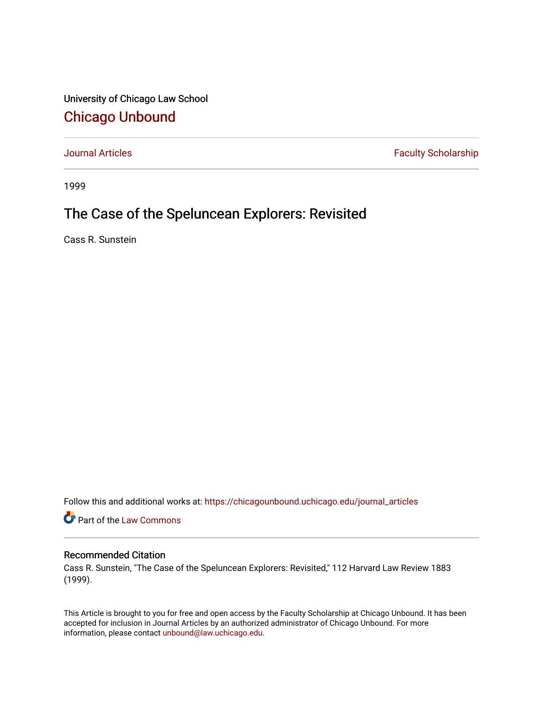University of Chicago Law School [Chicago Unbound](https://chicagounbound.uchicago.edu/)

[Journal Articles](https://chicagounbound.uchicago.edu/journal_articles) **Faculty Scholarship Faculty Scholarship** 

1999

## The Case of the Speluncean Explorers: Revisited

Cass R. Sunstein

Follow this and additional works at: [https://chicagounbound.uchicago.edu/journal\\_articles](https://chicagounbound.uchicago.edu/journal_articles?utm_source=chicagounbound.uchicago.edu%2Fjournal_articles%2F8578&utm_medium=PDF&utm_campaign=PDFCoverPages) 

Part of the [Law Commons](http://network.bepress.com/hgg/discipline/578?utm_source=chicagounbound.uchicago.edu%2Fjournal_articles%2F8578&utm_medium=PDF&utm_campaign=PDFCoverPages)

## Recommended Citation

Cass R. Sunstein, "The Case of the Speluncean Explorers: Revisited," 112 Harvard Law Review 1883 (1999).

This Article is brought to you for free and open access by the Faculty Scholarship at Chicago Unbound. It has been accepted for inclusion in Journal Articles by an authorized administrator of Chicago Unbound. For more information, please contact [unbound@law.uchicago.edu](mailto:unbound@law.uchicago.edu).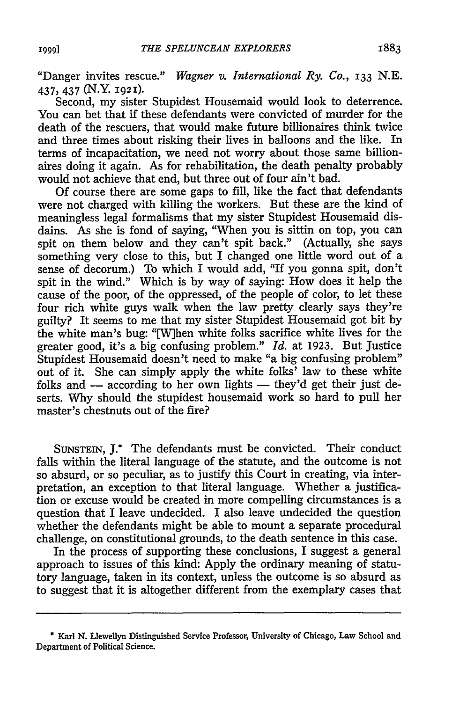"Danger invites rescue." *Wagner v. International Ry. Co.,* **133** N.E. 437, 437 (N.Y. **i921).**

Second, my sister Stupidest Housemaid would look to deterrence. You can bet that if these defendants were convicted of murder for the death of the rescuers, that would make future billionaires think twice and three times about risking their lives in balloons and the like. In terms of incapacitation, we need not worry about those same billionaires doing it again. As for rehabilitation, the death penalty probably would not achieve that end, but three out of four ain't bad.

Of course there are some gaps to fill, like the fact that defendants were not charged with killing the workers. But these are the kind of meaningless legal formalisms that my sister Stupidest Housemaid disdains. As she is fond of saying, "When you is sittin on top, you can spit on them below and they can't spit back." (Actually, she says something very close to this, but I changed one little word out of a sense of decorum.) To which I would add, "If you gonna spit, don't spit in the wind." Which is by way of saying: How does it help the cause of the poor, of the oppressed, of the people of color, to let these four rich white guys walk when the law pretty clearly says they're guilty? It seems to me that my sister Stupidest Housemaid got bit by the white man's bug: "[W]hen white folks sacrifice white lives for the greater good, it's a big confusing problem." *Id.* at 1923. But Justice Stupidest Housemaid doesn't need to make "a big confusing problem" out of it. She can simply apply the white folks' law to these white folks and  $-$  according to her own lights  $-$  they'd get their just deserts. Why should the stupidest housemaid work so hard to pull her master's chestnuts out of the fire?

SUNSTEIN, J.\* The defendants must be convicted. Their conduct falls within the literal language of the statute, and the outcome is not so absurd, or so peculiar, as to justify this Court in creating, via interpretation, an exception to that literal language. Whether a justification or excuse would be created in more compelling circumstances is a question that I leave undecided. I also leave undecided the question whether the defendants might be able to mount a separate procedural challenge, on constitutional grounds, to the death sentence in this case.

In the process of supporting these conclusions, I suggest a general approach to issues of this kind: Apply the ordinary meaning of statutory language, taken in its context, unless the outcome is so absurd as to suggest that it is altogether different from the exemplary cases that

**<sup>\*</sup>** Karl **N.** Llewellyn Distinguished Service Professor, University of Chicago, Law School and Department of Political Science.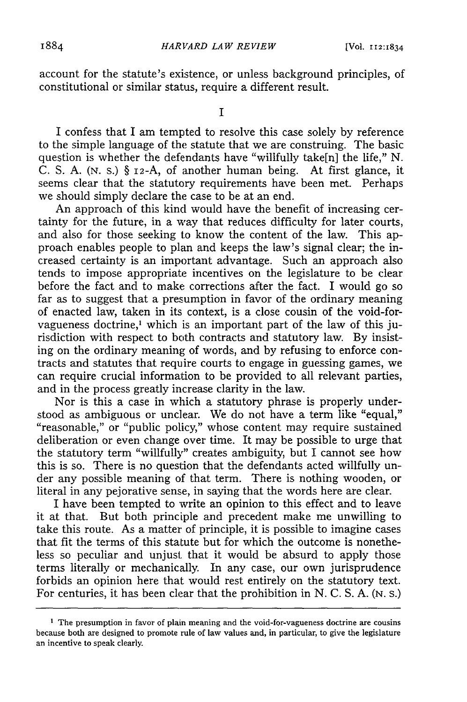account for the statute's existence, or unless background principles, of constitutional or similar status, require a different result.

**I**

I confess that I am tempted to resolve this case solely by reference to the simple language of the statute that we are construing. The basic question is whether the defendants have "willfully take[n] the life," N. C. S. A. **(N. S.)** § 12-A, of another human being. At first glance, it seems clear that the statutory requirements have been met. Perhaps we should simply declare the case to be at an end.

An approach of this kind would have the benefit of increasing certainty for the future, in a way that reduces difficulty for later courts, and also for those seeking to know the content of the law. This approach enables people to plan and keeps the law's signal clear; the increased certainty is an important advantage. Such an approach also tends to impose appropriate incentives on the legislature to be clear before the fact and to make corrections after the fact. I would go so far as to suggest that a presumption in favor of the ordinary meaning of enacted law, taken in its context, is a close cousin of the void-forvagueness doctrine,<sup>1</sup> which is an important part of the law of this jurisdiction with respect to both contracts and statutory law. By insisting on the ordinary meaning of words, and by refusing to enforce contracts and statutes that require courts to engage in guessing games, we can require crucial information to be provided to all relevant parties, and in the process greatly increase clarity in the law.

Nor is this a case in which a statutory phrase is properly understood as ambiguous or unclear. We do not have a term like "equal," "reasonable," or "public policy," whose content may require sustained deliberation or even change over time. It may be possible to urge that the statutory term "willfully" creates ambiguity, but I cannot see how this is so. There is no question that the defendants acted willfully under any possible meaning of that term. There is nothing wooden, or literal in any pejorative sense, in saying that the words here are clear.

I have been tempted to write an opinion to this effect and to leave it at that. But both principle and precedent make me unwilling to take this route. As a matter of principle, it is possible to imagine cases that fit the terms of this statute but for which the outcome is nonetheless so peculiar and unjust that it would be absurd to apply those terms literally or mechanically. In any case, our own jurisprudence forbids an opinion here that would rest entirely on the statutory text. For centuries, it has been clear that the prohibition in N. C. S. A. (N. S.)

**I** The presumption in favor **of** plain meaning and the void-for-vagueness doctrine are **cousins** because both are designed **to** promote rule **of** law values and, in particular, **to** give the legislature an incentive **to** speak clearly.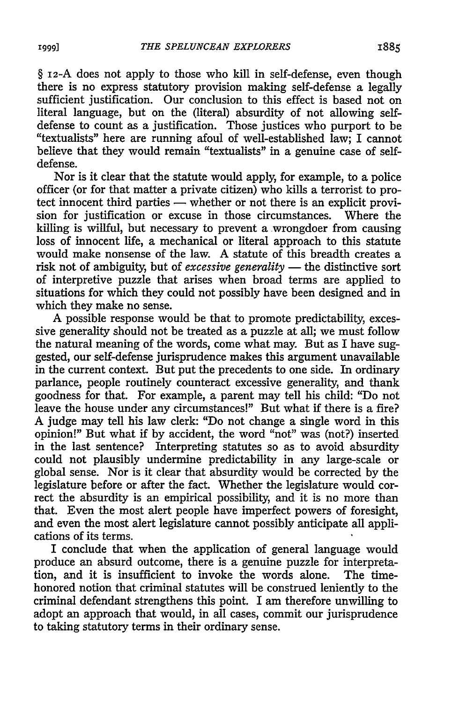§ 12-A does not apply to those who kill in self-defense, even though there is no express statutory provision making self-defense a legally sufficient justification. Our conclusion to this effect is based not on literal language, but on the (literal) absurdity of not allowing selfdefense to count as a justification. Those justices who purport to be "textualists" here are running afoul of well-established law; I cannot believe that they would remain "textualists" in a genuine case of selfdefense.

Nor is it clear that the statute would apply, for example, to a police officer (or for that matter a private citizen) who kills a terrorist to protect innocent third parties — whether or not there is an explicit provision for justification or excuse in those circumstances. Where the killing is willful, but necessary to prevent a wrongdoer from causing loss of innocent life, a mechanical or literal approach to this statute would make nonsense of the law. A statute of this breadth creates a risk not of ambiguity, but of *excessive generality* - the distinctive sort of interpretive puzzle that arises when broad terms are applied to situations for which they could not possibly have been designed and in which they make no sense.

A possible response would be that to promote predictability, excessive generality should not be treated as a puzzle at all; we must follow the natural meaning of the words, come what may. But as I have suggested, our self-defense jurisprudence makes this argument unavailable in the current context. But put the precedents to one side. In ordinary parlance, people routinely counteract excessive generality, and thank goodness for that. For example, a parent may tell his child: "Do not leave the house under any circumstances!" But what if there is a fire? A judge may tell his law clerk: "Do not change a single word in this opinion!" But what if by accident, the word "not" was (not?) inserted in the last sentence? Interpreting statutes so as to avoid absurdity could not plausibly undermine predictability in any large-scale or global sense. Nor is it clear that absurdity would be corrected by the legislature before or after the fact. Whether the legislature would correct the absurdity is an empirical possibility, and it is no more than that. Even the most alert people have imperfect powers of foresight, and even the most alert legislature cannot possibly anticipate all applications of its terms.

I conclude that when the application of general language would produce an absurd outcome, there is a genuine puzzle for interpretation, and it is insufficient to invoke the words alone. The timehonored notion that criminal statutes will be construed leniently to the criminal defendant strengthens this point. I am therefore unwilling to adopt an approach that would, in all cases, commit our jurisprudence to taking statutory terms in their ordinary sense.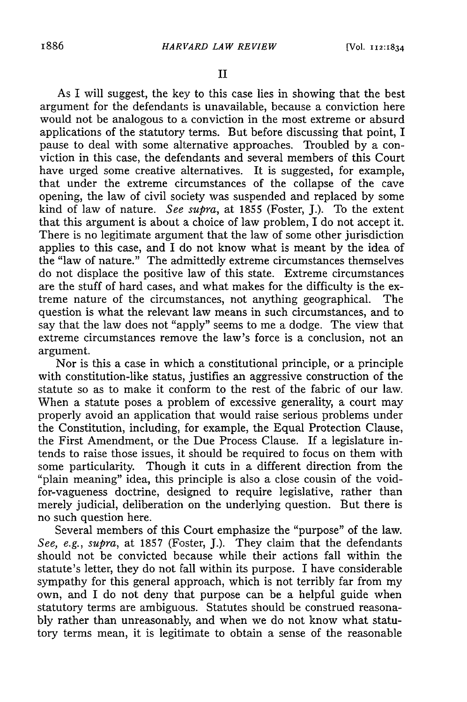As I will suggest, the key to this case lies in showing that the best argument for the defendants is unavailable, because a conviction here would not be analogous to a conviction in the most extreme or absurd applications of the statutory terms. But before discussing that point, I pause to deal with some alternative approaches. Troubled by a conviction in this case, the defendants and several members of this Court have urged some creative alternatives. It is suggested, for example, that under the extreme circumstances of the collapse of the cave opening, the law of civil society was suspended and replaced by some kind of law of nature. *See supra,* at 1855 (Foster, J.). To the extent that this argument is about a choice of law problem, I do not accept it. There is no legitimate argument that the law of some other jurisdiction applies to this case, and I do not know what is meant by the idea of the "law of nature." The admittedly extreme circumstances themselves do not displace the positive law of this state. Extreme circumstances are the stuff of hard cases, and what makes for the difficulty is the extreme nature of the circumstances, not anything geographical. The question is what the relevant law means in such circumstances, and to say that the law does not "apply" seems to me a dodge. The view that extreme circumstances remove the law's force is a conclusion, not an argument.

Nor is this a case in which a constitutional principle, or a principle with constitution-like status, justifies an aggressive construction of the statute so as to make it conform to the rest of the fabric of our law. When a statute poses a problem of excessive generality, a court may properly avoid an application that would raise serious problems under the Constitution, including, for example, the Equal Protection Clause, the First Amendment, or the Due Process Clause. If a legislature intends to raise those issues, it should be required to focus on them with some particularity. Though it cuts in a different direction from the "plain meaning" idea, this principle is also a close cousin of the voidfor-vagueness doctrine, designed to require legislative, rather than merely judicial, deliberation on the underlying question. But there is no such question here.

Several members of this Court emphasize the "purpose" of the law. *See, e.g., supra,* at 1857 (Foster, J.). They claim that the defendants should not be convicted because while their actions fall within the statute's letter, they do not fall within its purpose. I have considerable sympathy for this general approach, which is not terribly far from my own, and I do not deny that purpose can be a helpful guide when statutory terms are ambiguous. Statutes should be construed reasonably rather than unreasonably, and when we do not know what statutory terms mean, it is legitimate to obtain a sense of the reasonable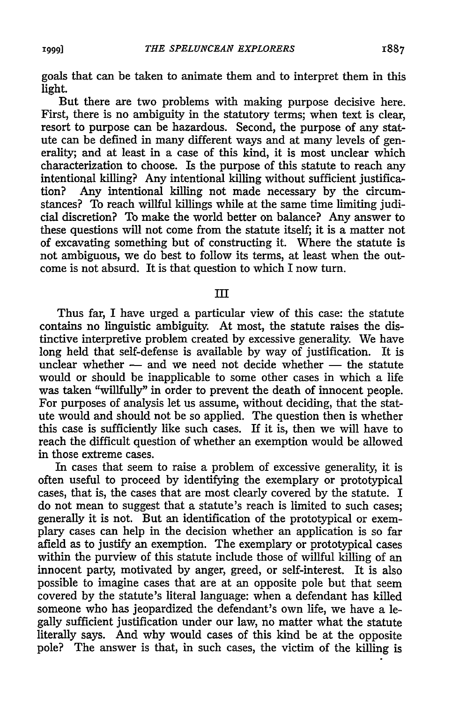goals that can be taken to animate them and to interpret them in this light.

But there are two problems with making purpose decisive here. First, there is no ambiguity in the statutory terms; when text is clear, resort to purpose can be hazardous. Second, the purpose of any statute can be defined in many different ways and at many levels of generality; and at least in a case of this kind, it is most unclear which characterization to choose. Is the purpose of this statute to reach any intentional killing? Any intentional killing without sufficient justification? Any intentional killing not made necessary by the circumstances? To reach willful killings while at the same time limiting judicial discretion? To make the world better on balance? Any answer to these questions will not come from the statute itself; it is a matter not of excavating something but of constructing it. Where the statute is not ambiguous, we do best to follow its terms, at least when the outcome is not absurd. It is that question to which I now turn.

**TTT** 

Thus far, I have urged a particular view of this case: the statute contains no linguistic ambiguity. At most, the statute raises the distinctive interpretive problem created by excessive generality. We have long held that self-defense is available by way of justification. It is unclear whether  $-$  and we need not decide whether  $-$  the statute would or should be inapplicable to some other cases in which a life was taken "willfully" in order to prevent the death of innocent people. For purposes of analysis let us assume, without deciding, that the statute would and should not be so applied. The question then is whether this case is sufficiently like such cases. If it is, then we will have to reach the difficult question of whether an exemption would be allowed in those extreme cases.

In cases that seem to raise a problem of excessive generality, it is often useful to proceed by identifying the exemplary or prototypical cases, that is, the cases that are most clearly covered by the statute. I do not mean to suggest that a statute's reach is limited to such cases; generally it is not. But an identification of the prototypical or exemplary cases can help in the decision whether an application is so far afield as to justify an exemption. The exemplary or prototypical cases within the purview of this statute include those of willful killing of an innocent party, motivated by anger, greed, or self-interest. It is also possible to imagine cases that are at an opposite pole but that seem covered by the statute's literal language: when a defendant has killed someone who has jeopardized the defendant's own life, we have a legally sufficient justification under our law, no matter what the statute literally says. And why would cases of this kind be at the opposite pole? The answer is that, in such cases, the victim of the killing is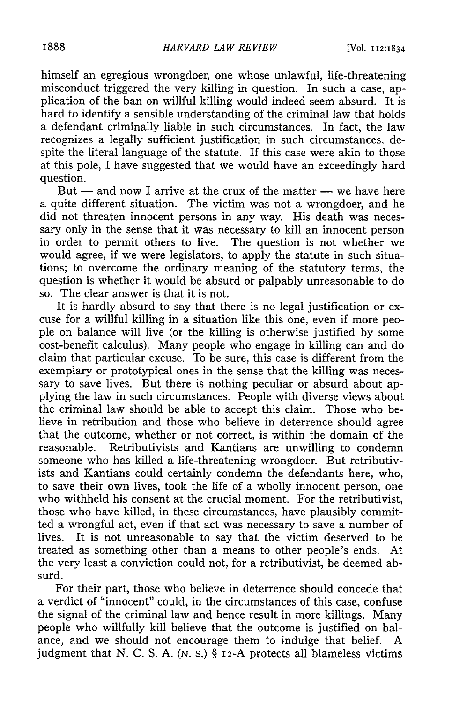himself an egregious wrongdoer, one whose unlawful, life-threatening misconduct triggered the very killing in question. In such a case, application of the ban on willful killing would indeed seem absurd. It is hard to identify a sensible understanding of the criminal law that holds a defendant criminally liable in such circumstances. In fact, the law recognizes a legally sufficient justification in such circumstances, despite the literal language of the statute. If this case were akin to those at this pole, I have suggested that we would have an exceedingly hard question.

But - and now I arrive at the crux of the matter - we have here a quite different situation. The victim was not a wrongdoer, and he did not threaten innocent persons in any way. His death was necessary only in the sense that it was necessary to kill an innocent person in order to permit others **to** live. The question is not whether we would agree, if we were legislators, to apply the statute in such situations; to overcome the ordinary meaning of the statutory terms, the question is whether it would be absurd or palpably unreasonable to do so. The clear answer is that it is not.

It is hardly absurd to say that there is no legal justification or excuse for a willful killing in a situation like this one, even if more people on balance will live (or the killing is otherwise justified by some cost-benefit calculus). Many people who engage in killing can and do claim that particular excuse. To be sure, this case is different from the exemplary or prototypical ones in the sense that the killing was necessary to save lives. But there is nothing peculiar or absurd about applying the law in such circumstances. People with diverse views about the criminal law should be able to accept this claim. Those who believe in retribution and those who believe in deterrence should agree that the outcome, whether or not correct, is within the domain of the reasonable. Retributivists and Kantians are unwilling to condemn someone who has killed a life-threatening wrongdoer. But retributivists and Kantians could certainly condemn the defendants here, who, to save their own lives, took the life of a wholly innocent person, one who withheld his consent at the crucial moment. For the retributivist, those who have killed, in these circumstances, have plausibly committed a wrongful act, even if that act was necessary to save a number of lives. It is not unreasonable to say that the victim deserved to be treated as something other than a means to other people's ends. At the very least a conviction could not, for a retributivist, be deemed absurd.

For their part, those who believe in deterrence should concede that a verdict of "innocent" could, in the circumstances of this case, confuse the signal of the criminal law and hence result in more killings. Many people who willfully kill believe that the outcome is justified on balance, and we should not encourage them to indulge that belief. A judgment that N. C. S. A. **(N. S.)** § 12-A protects all blameless victims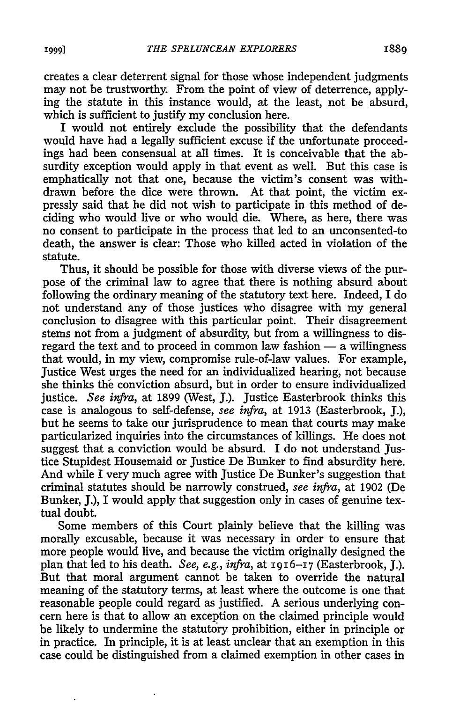creates a clear deterrent signal for those whose independent judgments may not be trustworthy. From the point of view of deterrence, applying the statute in this instance would, at the least, not be absurd, which is sufficient to justify my conclusion here.

I would not entirely exclude the possibility that the defendants would have had a legally sufficient excuse if the unfortunate proceedings had been consensual at all times. It is conceivable that the absurdity exception would apply in that event as well. But this case is emphatically not that one, because the victim's consent was withdrawn before the dice were thrown. At that point, the victim expressly said that he did not wish to participate in this method of deciding who would live or who would die. Where, as here, there was no consent to participate in the process that led to an unconsented-to death, the answer is clear: Those who killed acted in violation of the statute.

Thus, it should be possible for those with diverse views of the purpose of the criminal law to agree that there is nothing absurd about following the ordinary meaning of the statutory text here. Indeed, I do not understand any of those justices who disagree with my general conclusion to disagree with this particular point. Their disagreement stems not from a judgment of absurdity, but from a willingness to disregard the text and to proceed in common law fashion  $-$  a willingness that would, in my view, compromise rule-of-law values. For example, Justice West urges the need for an individualized hearing, not because she thinks the conviction absurd, but in order to ensure individualized justice. *See infra,* at 1899 (West, J.). Justice Easterbrook thinks this case is analogous to self-defense, *see infra,* at 1913 (Easterbrook, J.), but he seems to take our jurisprudence to mean that courts may make particularized inquiries into the circumstances of killings. He does not suggest that a conviction would be absurd. I do not understand Justice Stupidest Housemaid or Justice De Bunker to find absurdity here. And while I very much agree with Justice De Bunker's suggestion that criminal statutes should be narrowly construed, *see infra,* at 1902 (De Bunker, J.), I would apply that suggestion only in cases of genuine textual doubt.

Some members of this Court plainly believe that the killing was morally excusable, because it was necessary in order to ensure that more people would live, and because the victim originally designed the plan that led to his death. *See, e.g., infra,* at 1916-17 (Easterbrook, J.). But that moral argument cannot be taken to override the natural meaning of the statutory terms, at least where the outcome is one that reasonable people could regard as justified. A serious underlying concern here is that to allow an exception on the claimed principle would be likely to undermine the statutory prohibition, either in principle or in practice. In principle, it is at least unclear that an exemption in this case could be distinguished from a claimed exemption in other cases in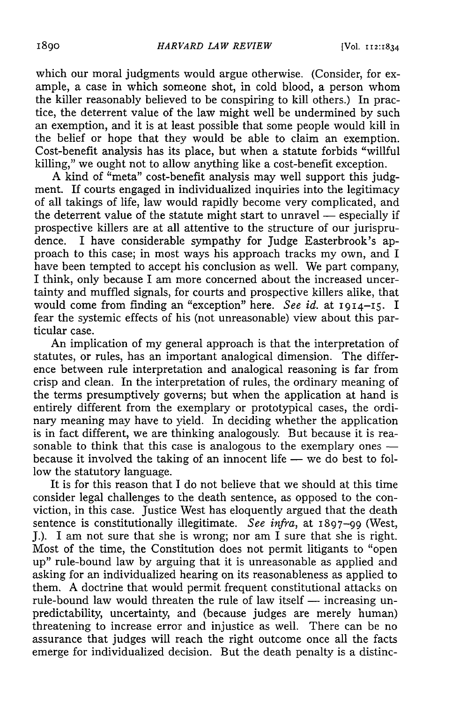which our moral judgments would argue otherwise. (Consider, for example, a case in which someone shot, in cold blood, a person whom the killer reasonably believed to be conspiring to kill others.) In practice, the deterrent value of the law might well be undermined by such an exemption, and it is at least possible that some people would kill in the belief or hope that they would be able to claim an exemption. Cost-benefit analysis has its place, but when a statute forbids "willful killing," we ought not to allow anything like a cost-benefit exception.

A kind of "meta" cost-benefit analysis may well support this judgment. If courts engaged in individualized inquiries into the legitimacy of all takings of life, law would rapidly become very complicated, and the deterrent value of the statute might start to unravel — especially if prospective killers are at all attentive to the structure of our jurisprudence. I have considerable sympathy for Judge Easterbrook's approach to this case; in most ways his approach tracks my own, and I have been tempted to accept his conclusion as well. We part company, I think, only because I am more concerned about the increased uncertainty and muffled signals, for courts and prospective killers alike, that would come from finding an "exception" here. *See id.* at 1914-15. I fear the systemic effects of his (not unreasonable) view about this particular case.

An implication of my general approach is that the interpretation of statutes, or rules, has an important analogical dimension. The difference between rule interpretation and analogical reasoning is far from crisp and clean. In the interpretation of rules, the ordinary meaning of the terms presumptively governs; but when the application at hand is entirely different from the exemplary or prototypical cases, the ordinary meaning may have to yield. In deciding whether the application is in fact different, we are thinking analogously. But because it is reasonable to think that this case is analogous to the exemplary ones  $$ because it involved the taking of an innocent life  $-$  we do best to follow the statutory language.

It is for this reason that I do not believe that we should at this time consider legal challenges to the death sentence, as opposed to the conviction, in this case. Justice West has eloquently argued that the death sentence is constitutionally illegitimate. *See infra,* at 1897-99 (West, J.). I am not sure that she is wrong; nor am I sure that she is right. Most of the time, the Constitution does not permit litigants to "open up" rule-bound law by arguing that it is unreasonable as applied and asking for an individualized hearing on its reasonableness as applied to them. A doctrine that would permit frequent constitutional attacks on rule-bound law would threaten the rule of law itself — increasing unpredictability, uncertainty, and (because judges are merely human) threatening to increase error and injustice as well. There can be no assurance that judges will reach the right outcome once all the facts emerge for individualized decision. But the death penalty is a distinc